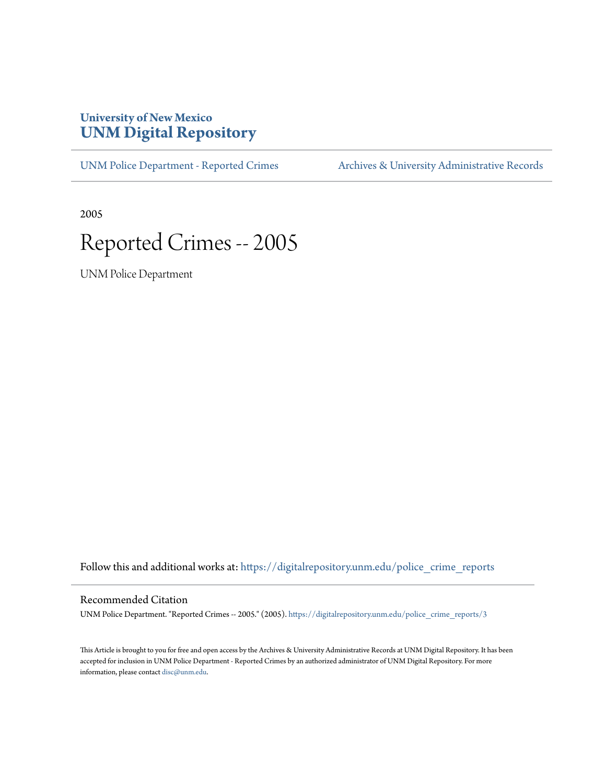## **University of New Mexico [UNM Digital Repository](https://digitalrepository.unm.edu?utm_source=digitalrepository.unm.edu%2Fpolice_crime_reports%2F3&utm_medium=PDF&utm_campaign=PDFCoverPages)**

[UNM Police Department - Reported Crimes](https://digitalrepository.unm.edu/police_crime_reports?utm_source=digitalrepository.unm.edu%2Fpolice_crime_reports%2F3&utm_medium=PDF&utm_campaign=PDFCoverPages) [Archives & University Administrative Records](https://digitalrepository.unm.edu/archives?utm_source=digitalrepository.unm.edu%2Fpolice_crime_reports%2F3&utm_medium=PDF&utm_campaign=PDFCoverPages)

2005

## Reported Crimes -- 2005

UNM Police Department

Follow this and additional works at: [https://digitalrepository.unm.edu/police\\_crime\\_reports](https://digitalrepository.unm.edu/police_crime_reports?utm_source=digitalrepository.unm.edu%2Fpolice_crime_reports%2F3&utm_medium=PDF&utm_campaign=PDFCoverPages)

## Recommended Citation

UNM Police Department. "Reported Crimes -- 2005." (2005). [https://digitalrepository.unm.edu/police\\_crime\\_reports/3](https://digitalrepository.unm.edu/police_crime_reports/3?utm_source=digitalrepository.unm.edu%2Fpolice_crime_reports%2F3&utm_medium=PDF&utm_campaign=PDFCoverPages)

This Article is brought to you for free and open access by the Archives & University Administrative Records at UNM Digital Repository. It has been accepted for inclusion in UNM Police Department - Reported Crimes by an authorized administrator of UNM Digital Repository. For more information, please contact [disc@unm.edu.](mailto:disc@unm.edu)